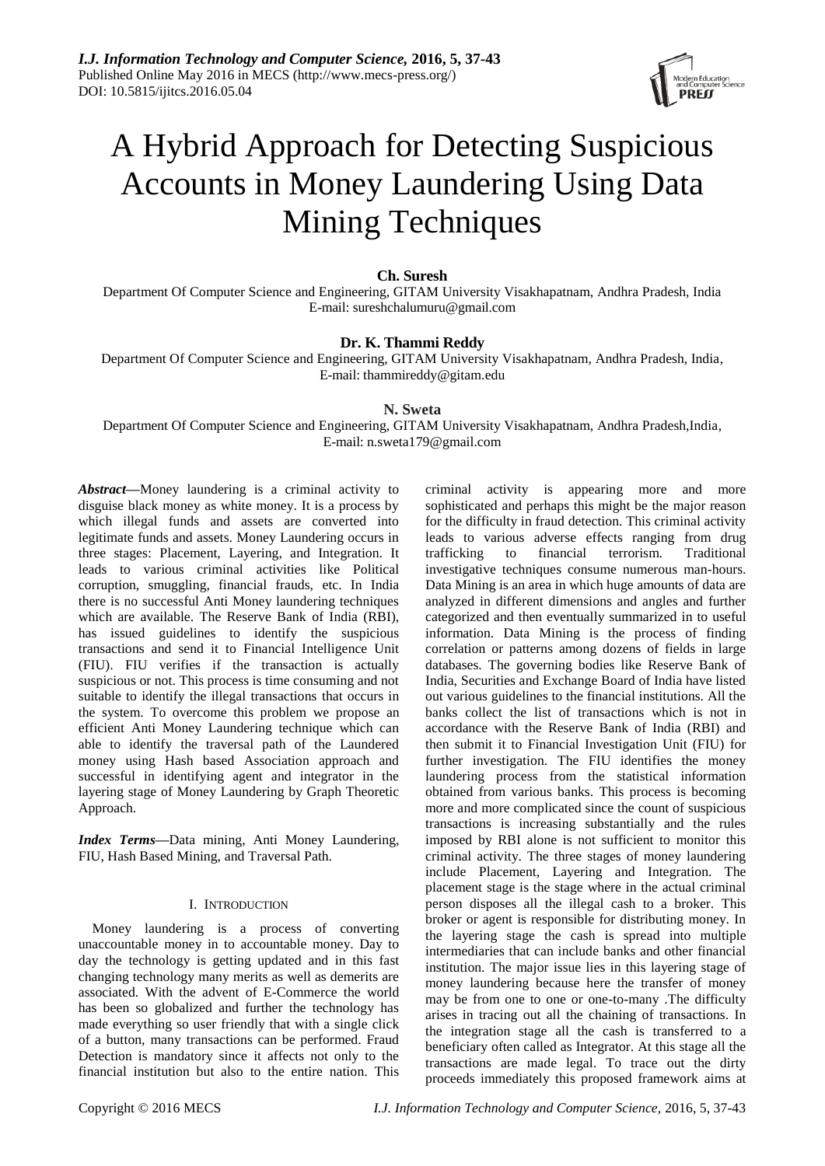

# A Hybrid Approach for Detecting Suspicious Accounts in Money Laundering Using Data Mining Techniques

# **Ch. Suresh**

Department Of Computer Science and Engineering, GITAM University Visakhapatnam, Andhra Pradesh, India E-mail: sureshchalumuru@gmail.com

# **Dr. K. Thammi Reddy**

Department Of Computer Science and Engineering, GITAM University Visakhapatnam, Andhra Pradesh, India, E-mail: thammireddy@gitam.edu

## **N. Sweta**

Department Of Computer Science and Engineering, GITAM University Visakhapatnam, Andhra Pradesh,India, E-mail: [n.sweta179@gmail.com](mailto:n.sweta179@gmail.com)

*Abstract***—**Money laundering is a criminal activity to disguise black money as white money. It is a process by which illegal funds and assets are converted into legitimate funds and assets. Money Laundering occurs in three stages: Placement, Layering, and Integration. It leads to various criminal activities like Political corruption, smuggling, financial frauds, etc. In India there is no successful Anti Money laundering techniques which are available. The Reserve Bank of India (RBI), has issued guidelines to identify the suspicious transactions and send it to Financial Intelligence Unit (FIU). FIU verifies if the transaction is actually suspicious or not. This process is time consuming and not suitable to identify the illegal transactions that occurs in the system. To overcome this problem we propose an efficient Anti Money Laundering technique which can able to identify the traversal path of the Laundered money using Hash based Association approach and successful in identifying agent and integrator in the layering stage of Money Laundering by Graph Theoretic Approach.

*Index Terms***—**Data mining, Anti Money Laundering, FIU, Hash Based Mining, and Traversal Path.

## I. INTRODUCTION

Money laundering is a process of converting unaccountable money in to accountable money. Day to day the technology is getting updated and in this fast changing technology many merits as well as demerits are associated. With the advent of E-Commerce the world has been so globalized and further the technology has made everything so user friendly that with a single click of a button, many transactions can be performed. Fraud Detection is mandatory since it affects not only to the financial institution but also to the entire nation. This

criminal activity is appearing more and more sophisticated and perhaps this might be the major reason for the difficulty in fraud detection. This criminal activity leads to various adverse effects ranging from drug trafficking to financial terrorism. Traditional investigative techniques consume numerous man-hours. Data Mining is an area in which huge amounts of data are analyzed in different dimensions and angles and further categorized and then eventually summarized in to useful information. Data Mining is the process of finding correlation or patterns among dozens of fields in large databases. The governing bodies like Reserve Bank of India, Securities and Exchange Board of India have listed out various guidelines to the financial institutions. All the banks collect the list of transactions which is not in accordance with the Reserve Bank of India (RBI) and then submit it to Financial Investigation Unit (FIU) for further investigation. The FIU identifies the money laundering process from the statistical information obtained from various banks. This process is becoming more and more complicated since the count of suspicious transactions is increasing substantially and the rules imposed by RBI alone is not sufficient to monitor this criminal activity. The three stages of money laundering include Placement, Layering and Integration. The placement stage is the stage where in the actual criminal person disposes all the illegal cash to a broker. This broker or agent is responsible for distributing money. In the layering stage the cash is spread into multiple intermediaries that can include banks and other financial institution. The major issue lies in this layering stage of money laundering because here the transfer of money may be from one to one or one-to-many .The difficulty arises in tracing out all the chaining of transactions. In the integration stage all the cash is transferred to a beneficiary often called as Integrator. At this stage all the transactions are made legal. To trace out the dirty proceeds immediately this proposed framework aims at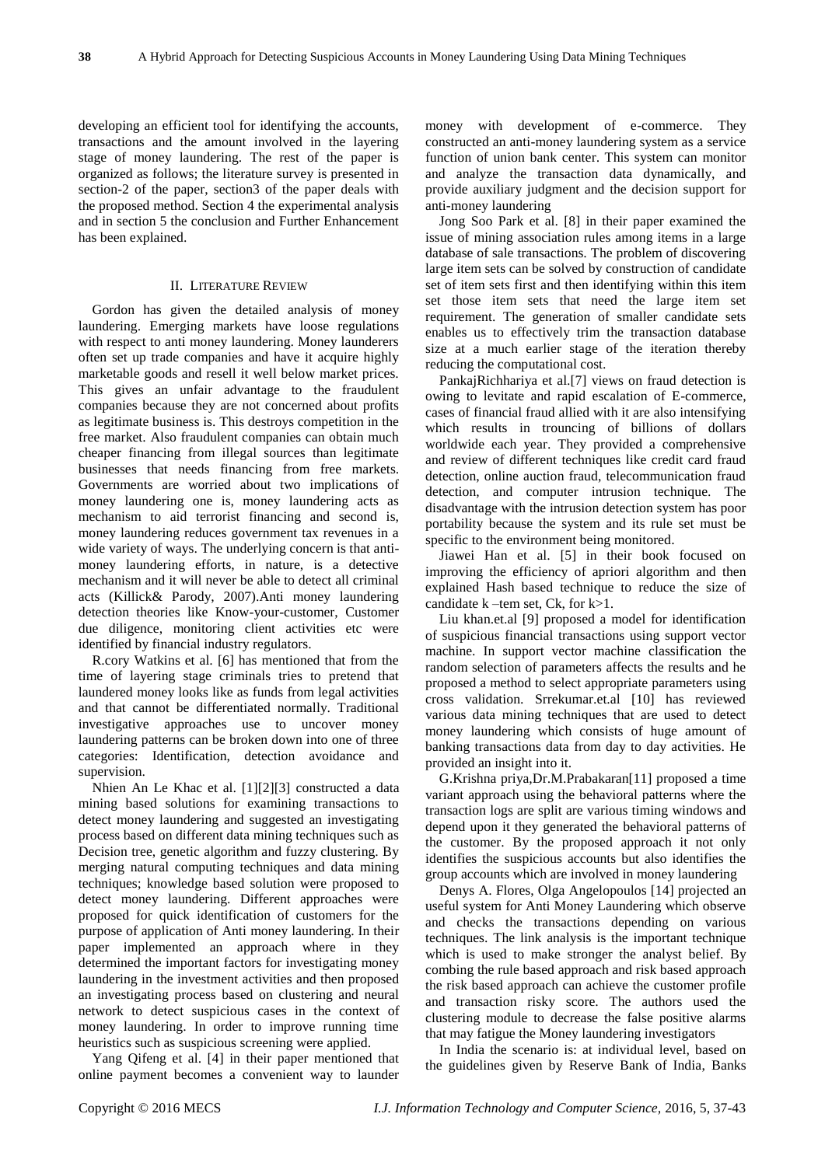developing an efficient tool for identifying the accounts, transactions and the amount involved in the layering stage of money laundering. The rest of the paper is organized as follows; the literature survey is presented in section-2 of the paper, section3 of the paper deals with the proposed method. Section 4 the experimental analysis and in section 5 the conclusion and Further Enhancement has been explained.

## II. LITERATURE REVIEW

Gordon has given the detailed analysis of money laundering. Emerging markets have loose regulations with respect to anti money laundering. Money launderers often set up trade companies and have it acquire highly marketable goods and resell it well below market prices. This gives an unfair advantage to the fraudulent companies because they are not concerned about profits as legitimate business is. This destroys competition in the free market. Also fraudulent companies can obtain much cheaper financing from illegal sources than legitimate businesses that needs financing from free markets. Governments are worried about two implications of money laundering one is, money laundering acts as mechanism to aid terrorist financing and second is, money laundering reduces government tax revenues in a wide variety of ways. The underlying concern is that antimoney laundering efforts, in nature, is a detective mechanism and it will never be able to detect all criminal acts (Killick& Parody, 2007).Anti money laundering detection theories like Know-your-customer, Customer due diligence, monitoring client activities etc were identified by financial industry regulators.

R.cory Watkins et al. [6] has mentioned that from the time of layering stage criminals tries to pretend that laundered money looks like as funds from legal activities and that cannot be differentiated normally. Traditional investigative approaches use to uncover money laundering patterns can be broken down into one of three categories: Identification, detection avoidance and supervision.

Nhien An Le Khac et al. [1][2][3] constructed a data mining based solutions for examining transactions to detect money laundering and suggested an investigating process based on different data mining techniques such as Decision tree, genetic algorithm and fuzzy clustering. By merging natural computing techniques and data mining techniques; knowledge based solution were proposed to detect money laundering. Different approaches were proposed for quick identification of customers for the purpose of application of Anti money laundering. In their paper implemented an approach where in they determined the important factors for investigating money laundering in the investment activities and then proposed an investigating process based on clustering and neural network to detect suspicious cases in the context of money laundering. In order to improve running time heuristics such as suspicious screening were applied.

Yang Qifeng et al. [4] in their paper mentioned that online payment becomes a convenient way to launder

money with development of e-commerce. They constructed an anti-money laundering system as a service function of union bank center. This system can monitor and analyze the transaction data dynamically, and provide auxiliary judgment and the decision support for anti-money laundering

Jong Soo Park et al. [8] in their paper examined the issue of mining association rules among items in a large database of sale transactions. The problem of discovering large item sets can be solved by construction of candidate set of item sets first and then identifying within this item set those item sets that need the large item set requirement. The generation of smaller candidate sets enables us to effectively trim the transaction database size at a much earlier stage of the iteration thereby reducing the computational cost.

PankajRichhariya et al.[7] views on fraud detection is owing to levitate and rapid escalation of E-commerce, cases of financial fraud allied with it are also intensifying which results in trouncing of billions of dollars worldwide each year. They provided a comprehensive and review of different techniques like credit card fraud detection, online auction fraud, telecommunication fraud detection, and computer intrusion technique. The disadvantage with the intrusion detection system has poor portability because the system and its rule set must be specific to the environment being monitored.

Jiawei Han et al. [5] in their book focused on improving the efficiency of apriori algorithm and then explained Hash based technique to reduce the size of candidate k –tem set, Ck, for k>1.

Liu khan.et.al [9] proposed a model for identification of suspicious financial transactions using support vector machine. In support vector machine classification the random selection of parameters affects the results and he proposed a method to select appropriate parameters using cross validation. Srrekumar.et.al [10] has reviewed various data mining techniques that are used to detect money laundering which consists of huge amount of banking transactions data from day to day activities. He provided an insight into it.

G.Krishna priya,Dr.M.Prabakaran[11] proposed a time variant approach using the behavioral patterns where the transaction logs are split are various timing windows and depend upon it they generated the behavioral patterns of the customer. By the proposed approach it not only identifies the suspicious accounts but also identifies the group accounts which are involved in money laundering

Denys A. Flores, Olga Angelopoulos [14] projected an useful system for Anti Money Laundering which observe and checks the transactions depending on various techniques. The link analysis is the important technique which is used to make stronger the analyst belief. By combing the rule based approach and risk based approach the risk based approach can achieve the customer profile and transaction risky score. The authors used the clustering module to decrease the false positive alarms that may fatigue the Money laundering investigators

In India the scenario is: at individual level, based on the guidelines given by Reserve Bank of India, Banks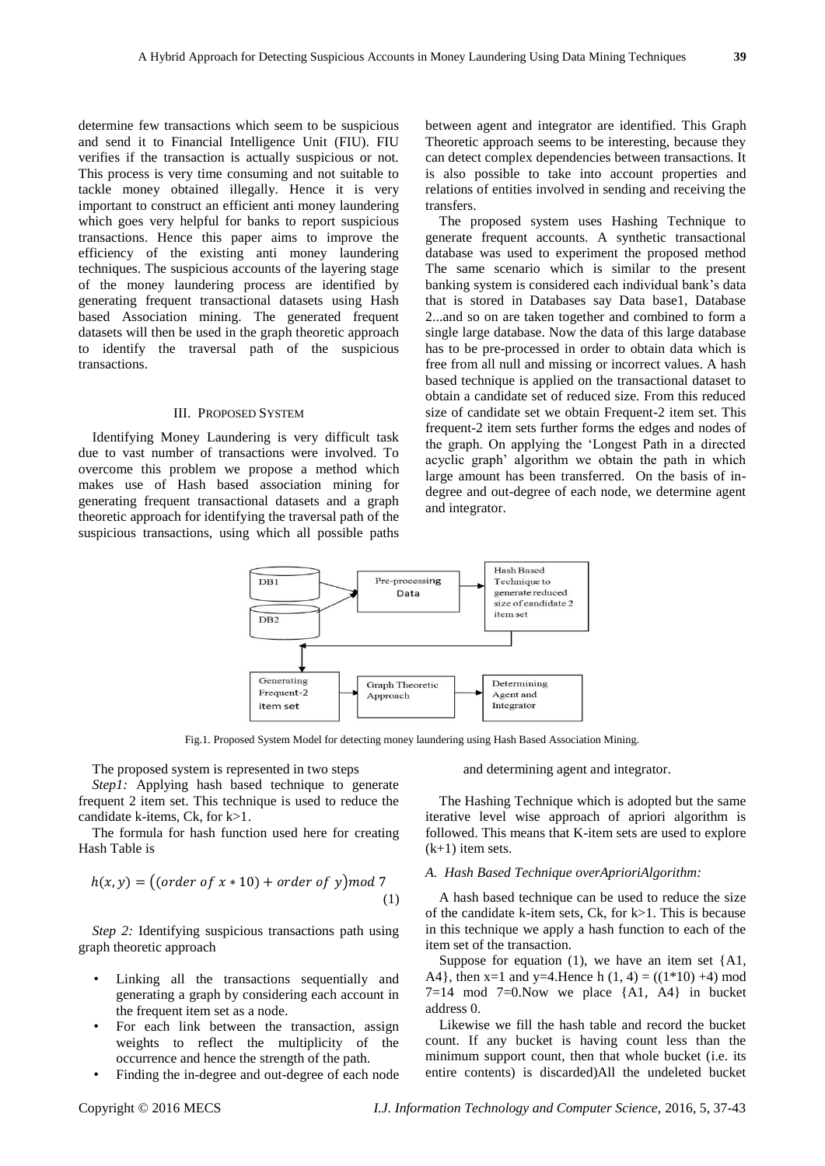determine few transactions which seem to be suspicious and send it to Financial Intelligence Unit (FIU). FIU verifies if the transaction is actually suspicious or not. This process is very time consuming and not suitable to tackle money obtained illegally. Hence it is very important to construct an efficient anti money laundering which goes very helpful for banks to report suspicious transactions. Hence this paper aims to improve the efficiency of the existing anti money laundering techniques. The suspicious accounts of the layering stage of the money laundering process are identified by generating frequent transactional datasets using Hash based Association mining. The generated frequent datasets will then be used in the graph theoretic approach to identify the traversal path of the suspicious transactions.

## III. PROPOSED SYSTEM

Identifying Money Laundering is very difficult task due to vast number of transactions were involved. To overcome this problem we propose a method which makes use of Hash based association mining for generating frequent transactional datasets and a graph theoretic approach for identifying the traversal path of the suspicious transactions, using which all possible paths

between agent and integrator are identified. This Graph Theoretic approach seems to be interesting, because they can detect complex dependencies between transactions. It is also possible to take into account properties and relations of entities involved in sending and receiving the transfers.

The proposed system uses Hashing Technique to generate frequent accounts. A synthetic transactional database was used to experiment the proposed method The same scenario which is similar to the present banking system is considered each individual bank's data that is stored in Databases say Data base1, Database 2...and so on are taken together and combined to form a single large database. Now the data of this large database has to be pre-processed in order to obtain data which is free from all null and missing or incorrect values. A hash based technique is applied on the transactional dataset to obtain a candidate set of reduced size. From this reduced size of candidate set we obtain Frequent-2 item set. This frequent-2 item sets further forms the edges and nodes of the graph. On applying the 'Longest Path in a directed acyclic graph' algorithm we obtain the path in which large amount has been transferred. On the basis of indegree and out-degree of each node, we determine agent and integrator.



Fig.1. Proposed System Model for detecting money laundering using Hash Based Association Mining.

The proposed system is represented in two steps

*Step1:* Applying hash based technique to generate frequent 2 item set. This technique is used to reduce the candidate k-items, Ck, for k>1.

The formula for hash function used here for creating Hash Table is

$$
h(x,y) = ((order\ of\ x * 10) + order\ of\ y) \mod 7
$$
<sup>(1)</sup>

*Step 2:* Identifying suspicious transactions path using graph theoretic approach

- Linking all the transactions sequentially and generating a graph by considering each account in the frequent item set as a node.
- For each link between the transaction, assign weights to reflect the multiplicity of the occurrence and hence the strength of the path.
- Finding the in-degree and out-degree of each node

and determining agent and integrator.

The Hashing Technique which is adopted but the same iterative level wise approach of apriori algorithm is followed. This means that K-item sets are used to explore  $(k+1)$  item sets.

## *A. Hash Based Technique overAprioriAlgorithm:*

A hash based technique can be used to reduce the size of the candidate k-item sets, Ck, for k>1. This is because in this technique we apply a hash function to each of the item set of the transaction.

Suppose for equation  $(1)$ , we have an item set  ${A1}$ , A4}, then  $x=1$  and  $y=4$ . Hence h  $(1, 4) = ((1*10) +4)$  mod 7=14 mod 7=0. Now we place  ${A1, A4}$  in bucket address 0.

Likewise we fill the hash table and record the bucket count. If any bucket is having count less than the minimum support count, then that whole bucket (i.e. its entire contents) is discarded)All the undeleted bucket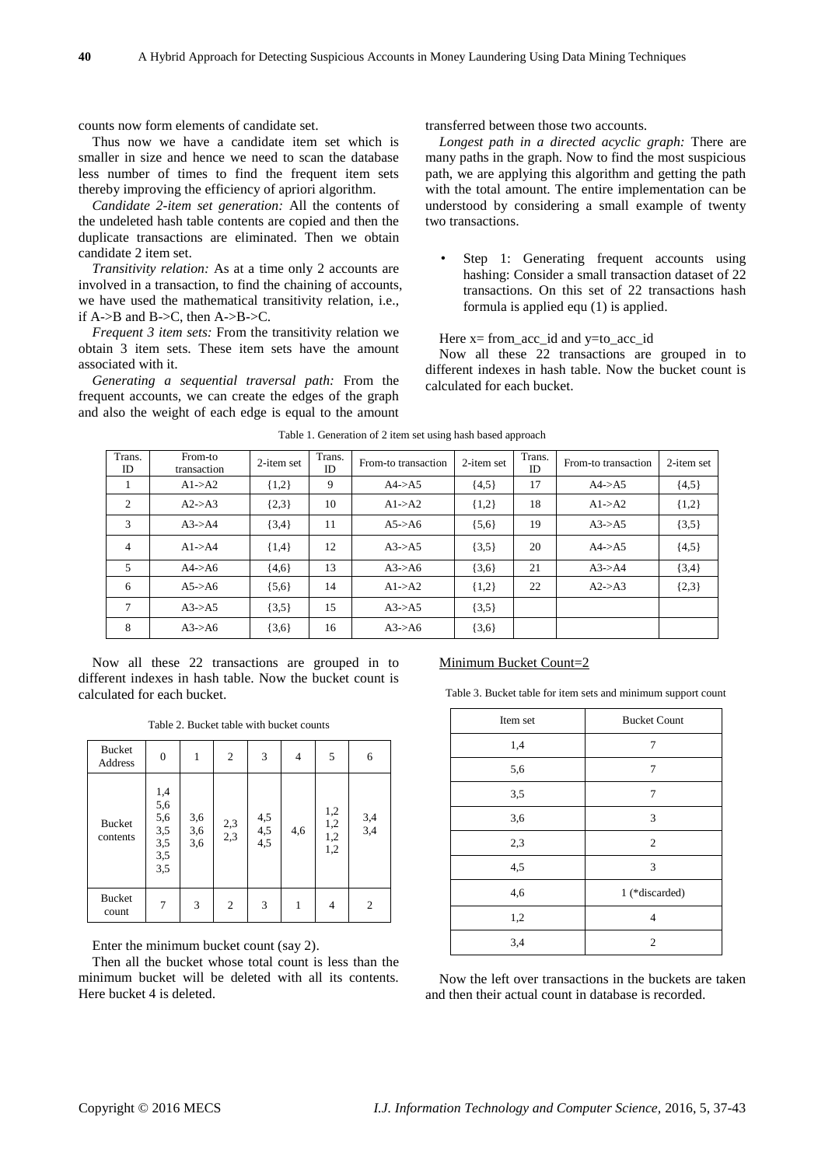counts now form elements of candidate set.

Thus now we have a candidate item set which is smaller in size and hence we need to scan the database less number of times to find the frequent item sets thereby improving the efficiency of apriori algorithm.

*Candidate 2-item set generation:* All the contents of the undeleted hash table contents are copied and then the duplicate transactions are eliminated. Then we obtain candidate 2 item set.

*Transitivity relation:* As at a time only 2 accounts are involved in a transaction, to find the chaining of accounts, we have used the mathematical transitivity relation, i.e., if  $A \rightarrow B$  and  $B \rightarrow C$ , then  $A \rightarrow B \rightarrow C$ .

*Frequent 3 item sets:* From the transitivity relation we obtain 3 item sets. These item sets have the amount associated with it.

*Generating a sequential traversal path:* From the frequent accounts, we can create the edges of the graph and also the weight of each edge is equal to the amount

## transferred between those two accounts.

*Longest path in a directed acyclic graph:* There are many paths in the graph. Now to find the most suspicious path, we are applying this algorithm and getting the path with the total amount. The entire implementation can be understood by considering a small example of twenty two transactions.

Step 1: Generating frequent accounts using hashing: Consider a small transaction dataset of 22 transactions. On this set of 22 transactions hash formula is applied equ (1) is applied.

# Here  $x=$  from  $\alpha$  acc\_id and  $y=$  to  $\alpha$  acc\_id

Now all these 22 transactions are grouped in to different indexes in hash table. Now the bucket count is calculated for each bucket.

| Trans.<br>ID   | From-to<br>transaction | 2-item set | Trans.<br><b>ID</b> | From-to transaction | 2-item set | Trans.<br>ID | From-to transaction | 2-item set |
|----------------|------------------------|------------|---------------------|---------------------|------------|--------------|---------------------|------------|
| $\perp$        | A1 > A2                | ${1,2}$    | 9                   | A4 > A5             | ${4,5}$    | 17           | A4 > A5             | ${4,5}$    |
| $\overline{2}$ | A2 > A3                | $\{2,3\}$  | 10                  | A1 > A2             | ${1,2}$    | 18           | A1 > A2             | ${1,2}$    |
| 3              | A3 > A4                | $\{3,4\}$  | 11                  | A5 > A6             | ${5,6}$    | 19           | A3 > A5             | $\{3,5\}$  |
| $\overline{4}$ | A1 > A4                | ${1,4}$    | 12                  | $A3 \rightarrow A5$ | $\{3,5\}$  | 20           | A4 > A5             | ${4,5}$    |
| 5              | A4 > A6                | ${4,6}$    | 13                  | A3 > A6             | ${3,6}$    | 21           | A3 > A4             | ${3,4}$    |
| 6              | A5 > A6                | ${5,6}$    | 14                  | A1 > A2             | ${1,2}$    | 22           | A2 > A3             | ${2,3}$    |
| 7              | $A3 \rightarrow A5$    | $\{3,5\}$  | 15                  | A3 > A5             | $\{3,5\}$  |              |                     |            |
| 8              | A3 > A6                | $\{3,6\}$  | 16                  | A3 > A6             | $\{3,6\}$  |              |                     |            |

Table 1. Generation of 2 item set using hash based approach

Now all these 22 transactions are grouped in to different indexes in hash table. Now the bucket count is calculated for each bucket.

Table 2. Bucket table with bucket counts

| <b>Bucket</b><br>Address  | $\boldsymbol{0}$                                       | $\mathbf{1}$      | $\overline{c}$ | 3                       | 4   | 5                                | 6              |
|---------------------------|--------------------------------------------------------|-------------------|----------------|-------------------------|-----|----------------------------------|----------------|
| <b>Bucket</b><br>contents | $1,4$<br>5,6<br>5,6<br>3,5<br>3,5<br>3,5<br>3,5<br>3,5 | 3,6<br>3,6<br>3,6 | $2,3$<br>$2,3$ | $4,5$<br>$4,5$<br>$4,5$ | 4,6 | $1,2$<br>$1,2$<br>$1,2$<br>$1,2$ | $3,4$<br>$3,4$ |
| <b>Bucket</b><br>count    | $\overline{7}$                                         | 3                 | $\overline{c}$ | 3                       | 1   | $\overline{4}$                   | 2              |

Enter the minimum bucket count (say 2).

Then all the bucket whose total count is less than the minimum bucket will be deleted with all its contents. Here bucket 4 is deleted.

#### Minimum Bucket Count=2

Table 3. Bucket table for item sets and minimum support count

| Item set | <b>Bucket Count</b> |
|----------|---------------------|
| 1,4      | 7                   |
| 5,6      | 7                   |
| 3,5      | 7                   |
| 3,6      | 3                   |
| 2,3      | $\overline{2}$      |
| 4,5      | 3                   |
| 4,6      | 1 (*discarded)      |
| 1,2      | 4                   |
| 3,4      | $\mathfrak{D}$      |

Now the left over transactions in the buckets are taken and then their actual count in database is recorded.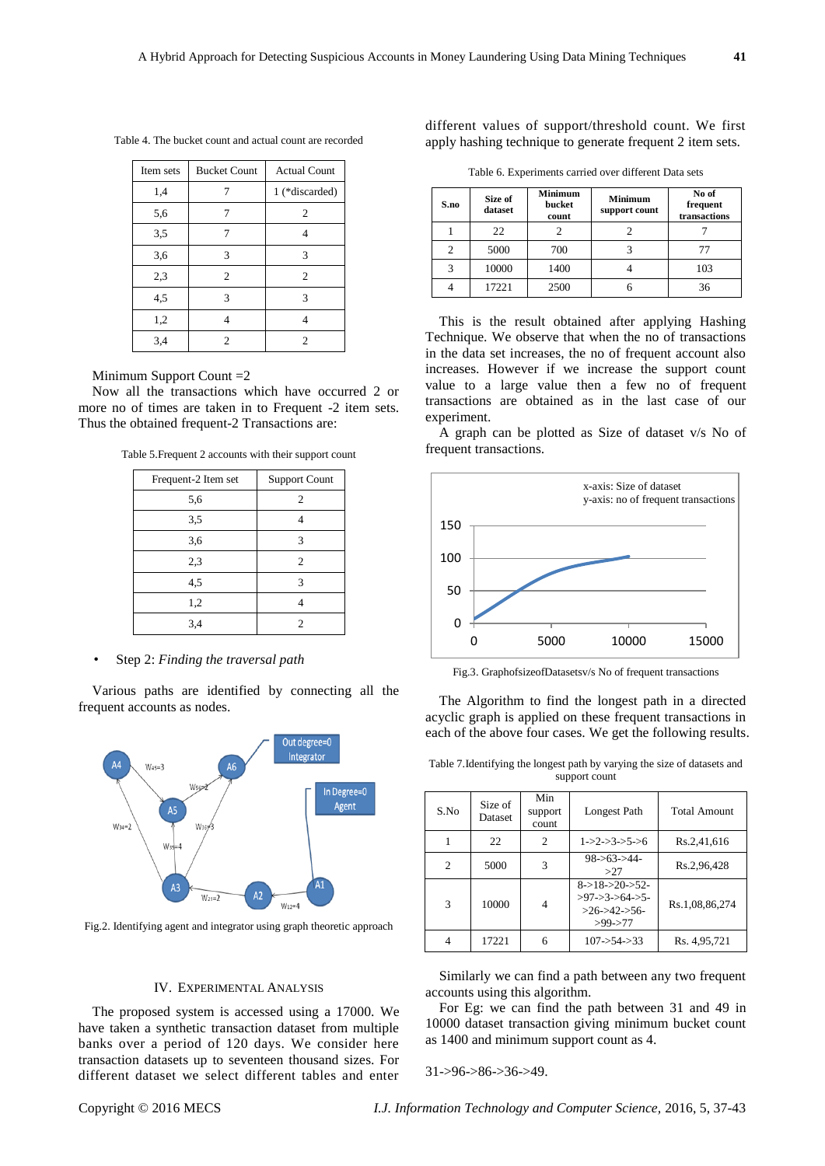| Item sets | <b>Bucket Count</b> | <b>Actual Count</b> |
|-----------|---------------------|---------------------|
| 1,4       |                     | 1 (*discarded)      |
| 5,6       |                     | $\overline{c}$      |
| 3,5       |                     | 4                   |
| 3,6       | 3                   | 3                   |
| 2,3       | $\overline{c}$      | $\overline{c}$      |
| 4,5       | 3                   | 3                   |
| 1,2       |                     |                     |
| 3,4       | 2                   | 2                   |

Table 4. The bucket count and actual count are recorded

Minimum Support Count =2

Now all the transactions which have occurred 2 or more no of times are taken in to Frequent -2 item sets. Thus the obtained frequent-2 Transactions are:

Table 5.Frequent 2 accounts with their support count

| Frequent-2 Item set | <b>Support Count</b> |  |
|---------------------|----------------------|--|
| 5,6                 | 2                    |  |
| 3,5                 |                      |  |
| 3,6                 | 3                    |  |
| 2,3                 | 2                    |  |
| 4,5                 |                      |  |
| 1,2                 |                      |  |
| 3,4                 |                      |  |

#### • Step 2: *Finding the traversal path*

Various paths are identified by connecting all the frequent accounts as nodes.



Fig.2. Identifying agent and integrator using graph theoretic approach

# IV. EXPERIMENTAL ANALYSIS

The proposed system is accessed using a 17000. We have taken a synthetic transaction dataset from multiple banks over a period of 120 days. We consider here transaction datasets up to seventeen thousand sizes. For different dataset we select different tables and enter

different values of support/threshold count. We first apply hashing technique to generate frequent 2 item sets.

Table 6. Experiments carried over different Data sets

| S.no | Size of<br>dataset | <b>Minimum</b><br>bucket<br>count | <b>Minimum</b><br>support count | No of<br>frequent<br>transactions |
|------|--------------------|-----------------------------------|---------------------------------|-----------------------------------|
|      | 22                 |                                   |                                 |                                   |
|      | 5000               | 700                               |                                 | 77                                |
|      | 10000              | 1400                              |                                 | 103                               |
|      | 17221              | 2500                              |                                 | 36                                |

This is the result obtained after applying Hashing Technique. We observe that when the no of transactions in the data set increases, the no of frequent account also increases. However if we increase the support count value to a large value then a few no of frequent transactions are obtained as in the last case of our experiment.

A graph can be plotted as Size of dataset v/s No of frequent transactions.



Fig.3. GraphofsizeofDatasetsv/s No of frequent transactions

The Algorithm to find the longest path in a directed acyclic graph is applied on these frequent transactions in each of the above four cases. We get the following results.

| S.No           | Size of<br>Dataset | Min<br>support<br>count | <b>Longest Path</b>                                                    | <b>Total Amount</b> |
|----------------|--------------------|-------------------------|------------------------------------------------------------------------|---------------------|
|                | 22                 | 2                       | $1 - 2 - 3 - 5 - 6$                                                    | Rs.2,41,616         |
| $\overline{c}$ | 5000               | 3                       | $98 - 63 - 44$<br>>27                                                  | Rs.2,96,428         |
| 3              | 10000              | 4                       | $8 - 18 - 20 - 52$<br>$>97 - 3 - 64 - 5$<br>$>26-242-56-$<br>$>99-277$ | Rs.1,08,86,274      |
|                | 17221              | 6                       | $107 - 54 - 33$                                                        | Rs. 4,95,721        |

Table 7.Identifying the longest path by varying the size of datasets and support count

Similarly we can find a path between any two frequent accounts using this algorithm.

For Eg: we can find the path between 31 and 49 in 10000 dataset transaction giving minimum bucket count as 1400 and minimum support count as 4.

31->96->86->36->49.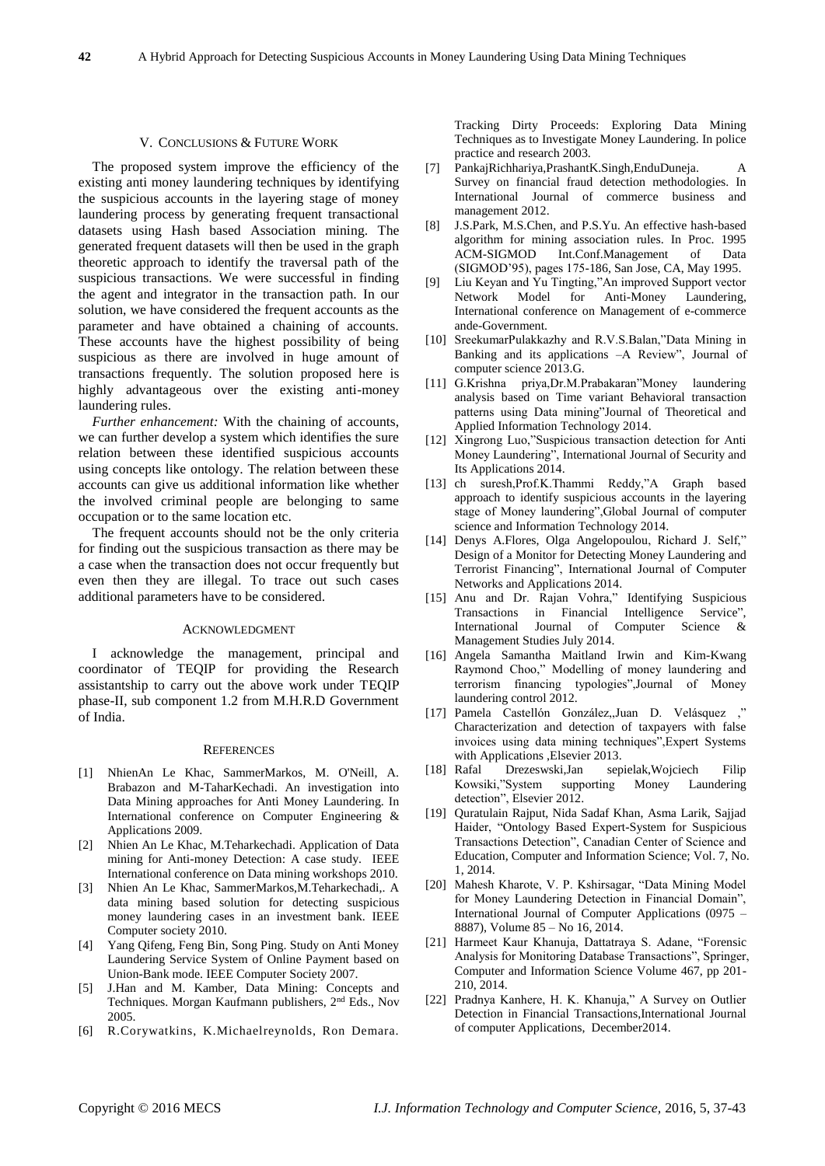#### V. CONCLUSIONS & FUTURE WORK

The proposed system improve the efficiency of the existing anti money laundering techniques by identifying the suspicious accounts in the layering stage of money laundering process by generating frequent transactional datasets using Hash based Association mining. The generated frequent datasets will then be used in the graph theoretic approach to identify the traversal path of the suspicious transactions. We were successful in finding the agent and integrator in the transaction path. In our solution, we have considered the frequent accounts as the parameter and have obtained a chaining of accounts. These accounts have the highest possibility of being suspicious as there are involved in huge amount of transactions frequently. The solution proposed here is highly advantageous over the existing anti-money laundering rules.

*Further enhancement:* With the chaining of accounts, we can further develop a system which identifies the sure relation between these identified suspicious accounts using concepts like ontology. The relation between these accounts can give us additional information like whether the involved criminal people are belonging to same occupation or to the same location etc.

The frequent accounts should not be the only criteria for finding out the suspicious transaction as there may be a case when the transaction does not occur frequently but even then they are illegal. To trace out such cases additional parameters have to be considered.

#### ACKNOWLEDGMENT

I acknowledge the management, principal and coordinator of TEQIP for providing the Research assistantship to carry out the above work under TEQIP phase-II, sub component 1.2 from M.H.R.D Government of India.

#### **REFERENCES**

- [1] NhienAn Le Khac, SammerMarkos, M. O'Neill, A. Brabazon and M-TaharKechadi. An investigation into Data Mining approaches for Anti Money Laundering. In International conference on Computer Engineering & Applications 2009.
- [2] Nhien An Le Khac, M.Teharkechadi. Application of Data mining for Anti-money Detection: A case study. IEEE International conference on Data mining workshops 2010.
- [3] Nhien An Le Khac, SammerMarkos,M.Teharkechadi,. A data mining based solution for detecting suspicious money laundering cases in an investment bank. IEEE Computer society 2010.
- [4] Yang Qifeng, Feng Bin, Song Ping. Study on Anti Money Laundering Service System of Online Payment based on Union-Bank mode. IEEE Computer Society 2007.
- [5] J.Han and M. Kamber, Data Mining: Concepts and Techniques. Morgan Kaufmann publishers, 2nd Eds., Nov 2005.
- [6] R.Corywatkins, K.Michaelreynolds, Ron Demara.

Tracking Dirty Proceeds: Exploring Data Mining Techniques as to Investigate Money Laundering. In police practice and research 2003.

- [7] PankajRichhariya,PrashantK.Singh,EnduDuneja. A Survey on financial fraud detection methodologies. In International Journal of commerce business and management 2012.
- [8] J.S.Park, M.S.Chen, and P.S.Yu. An effective hash-based algorithm for mining association rules. In Proc. 1995 ACM-SIGMOD Int.Conf.Management of Data (SIGMOD'95), pages 175-186, San Jose, CA, May 1995.
- [9] Liu Keyan and Yu Tingting,"An improved Support vector Network Model for Anti-Money Laundering, International conference on Management of e-commerce ande-Government.
- [10] SreekumarPulakkazhy and R.V.S.Balan,"Data Mining in Banking and its applications –A Review", Journal of computer science 2013.G.
- [11] G.Krishna priya,Dr.M.Prabakaran"Money laundering analysis based on Time variant Behavioral transaction patterns using Data mining"Journal of Theoretical and Applied Information Technology 2014.
- [12] Xingrong Luo,"Suspicious transaction detection for Anti Money Laundering", International Journal of Security and Its Applications 2014.
- [13] ch suresh,Prof.K.Thammi Reddy,"A Graph based approach to identify suspicious accounts in the layering stage of Money laundering",Global Journal of computer science and Information Technology 2014.
- [14] Denys A.Flores, Olga Angelopoulou, Richard J. Self," Design of a Monitor for Detecting Money Laundering and Terrorist Financing", International Journal of Computer Networks and Applications 2014.
- [15] Anu and Dr. Rajan Vohra," Identifying Suspicious Transactions in Financial Intelligence Service", International Journal of Computer Science & Management Studies July 2014.
- [16] Angela Samantha Maitland Irwin and Kim-Kwang Raymond Choo," Modelling of money laundering and terrorism financing typologies",Journal of Money laundering control 2012.
- [17] Pamela Castellón González,,Juan D. Velásquez ," Characterization and detection of taxpayers with false invoices using data mining techniques",Expert Systems with Applications , Elsevier 2013.<br>Rafal Drezeswski, Jan sep
- [18] Rafal Drezeswski,Jan sepielak,Wojciech Filip Kowsiki,"System supporting Money Laundering detection", Elsevier 2012.
- [19] Quratulain Rajput, Nida Sadaf Khan, Asma Larik, Sajjad Haider, "Ontology Based Expert-System for Suspicious Transactions Detection", Canadian Center of Science and Education, Computer and Information Science; Vol. 7, No. 1, 2014.
- [20] Mahesh Kharote, V. P. Kshirsagar, "Data Mining Model for Money Laundering Detection in Financial Domain", International Journal of Computer Applications (0975 – 8887), Volume 85 – No 16, 2014.
- [21] Harmeet Kaur Khanuja, Dattatraya S. Adane, "Forensic Analysis for Monitoring Database Transactions", Springer, Computer and Information Science Volume 467, pp 201- 210, 2014.
- [22] Pradnya Kanhere, H. K. Khanuja," A Survey on Outlier Detection in Financial Transactions,International Journal of computer Applications, December2014.